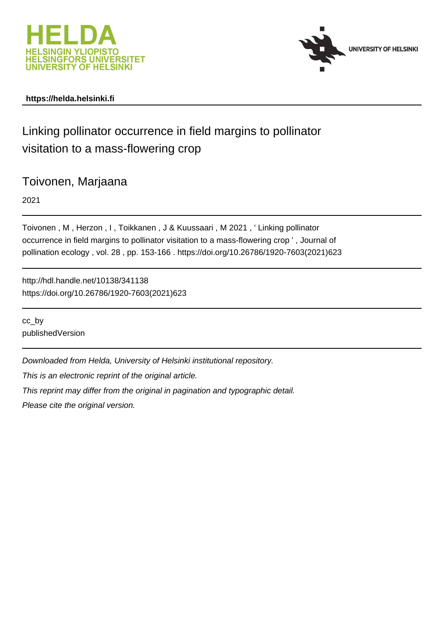



# **https://helda.helsinki.fi**

# Linking pollinator occurrence in field margins to pollinator visitation to a mass-flowering crop

Toivonen, Marjaana

2021

Toivonen , M , Herzon , I , Toikkanen , J & Kuussaari , M 2021 , ' Linking pollinator occurrence in field margins to pollinator visitation to a mass-flowering crop ' , Journal of pollination ecology , vol. 28 , pp. 153-166 . https://doi.org/10.26786/1920-7603(2021)623

http://hdl.handle.net/10138/341138 https://doi.org/10.26786/1920-7603(2021)623

cc\_by publishedVersion

Downloaded from Helda, University of Helsinki institutional repository.

This is an electronic reprint of the original article.

This reprint may differ from the original in pagination and typographic detail.

Please cite the original version.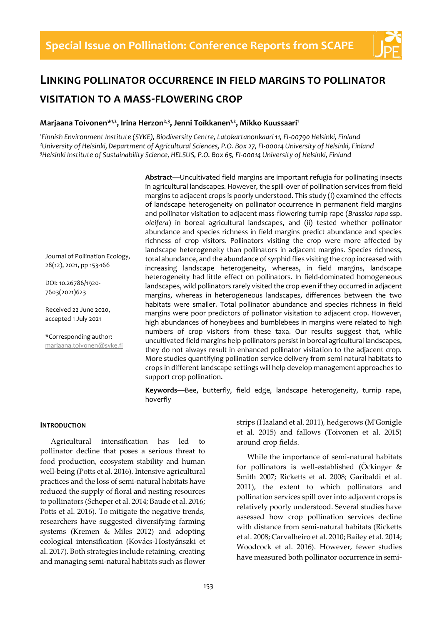

# **LINKING POLLINATOR OCCURRENCE IN FIELD MARGINS TO POLLINATOR VISITATION TO A MASS-FLOWERING CROP**

## **Marjaana Toivonen\*1,2, Irina Herzon2,3, Jenni Toikkanen1,2, Mikko Kuussaari<sup>1</sup>**

*1 Finnish Environment Institute (SYKE), Biodiversity Centre, Latokartanonkaari 11, FI-00790 Helsinki, Finland <sup>2</sup>University of Helsinki, Department of Agricultural Sciences, P.O. Box 27, FI-00014 University of Helsinki, Finland <sup>3</sup>Helsinki Institute of Sustainability Science, HELSUS, P.O. Box 65, FI-00014 University of Helsinki, Finland*

> **Abstract**—Uncultivated field margins are important refugia for pollinating insects in agricultural landscapes. However, the spill-over of pollination services from field margins to adjacent crops is poorly understood. This study (i) examined the effects of landscape heterogeneity on pollinator occurrence in permanent field margins and pollinator visitation to adjacent mass-flowering turnip rape (*Brassica rapa* ssp. *oleifera*) in boreal agricultural landscapes, and (ii) tested whether pollinator abundance and species richness in field margins predict abundance and species richness of crop visitors. Pollinators visiting the crop were more affected by landscape heterogeneity than pollinators in adjacent margins. Species richness, total abundance, and the abundance of syrphid flies visiting the crop increased with increasing landscape heterogeneity, whereas, in field margins, landscape heterogeneity had little effect on pollinators. In field-dominated homogeneous landscapes, wild pollinators rarely visited the crop even if they occurred in adjacent margins, whereas in heterogeneous landscapes, differences between the two habitats were smaller. Total pollinator abundance and species richness in field margins were poor predictors of pollinator visitation to adjacent crop. However, high abundances of honeybees and bumblebees in margins were related to high numbers of crop visitors from these taxa. Our results suggest that, while uncultivated field margins help pollinators persist in boreal agricultural landscapes, they do not always result in enhanced pollinator visitation to the adjacent crop. More studies quantifying pollination service delivery from semi-natural habitats to crops in different landscape settings will help develop management approaches to support crop pollination.

**Keywords**—Bee, butterfly, field edge, landscape heterogeneity, turnip rape, hoverfly

### **INTRODUCTION**

Journal of Pollination Ecology, 28(12), 2021, pp 153-166

DOI: 10.26786/1920- 7603(2021)623

Received 22 June 2020, accepted 1 July 2021

\*Corresponding author: [marjaana.toivonen@syke.fi](mailto:marjaana.toivonen@syke.fi)

Agricultural intensification has led to pollinator decline that poses a serious threat to food production, ecosystem stability and human well-being (Potts et al. 2016). Intensive agricultural practices and the loss of semi-natural habitats have reduced the supply of floral and nesting resources to pollinators (Scheper et al. 2014; Baude et al. 2016; Potts et al. 2016). To mitigate the negative trends, researchers have suggested diversifying farming systems (Kremen & Miles 2012) and adopting ecological intensification (Kovács-Hostyánszki et al. 2017). Both strategies include retaining, creating and managing semi-natural habitats such as flower

strips (Haaland et al. 2011), hedgerows (M'Gonigle et al. 2015) and fallows (Toivonen et al. 2015) around crop fields.

While the importance of semi-natural habitats for pollinators is well-established (Öckinger & Smith 2007; Ricketts et al. 2008; Garibaldi et al. 2011), the extent to which pollinators and pollination services spill over into adjacent crops is relatively poorly understood. Several studies have assessed how crop pollination services decline with distance from semi-natural habitats (Ricketts et al. 2008; Carvalheiro et al. 2010; Bailey et al. 2014; Woodcock et al. 2016). However, fewer studies have measured both pollinator occurrence in semi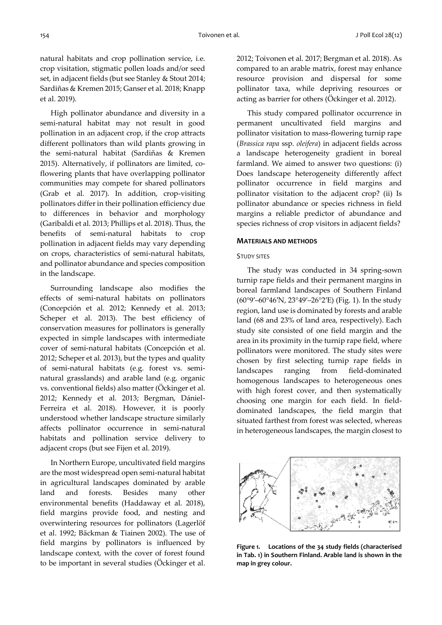natural habitats and crop pollination service, i.e. crop visitation, stigmatic pollen loads and/or seed set, in adjacent fields (but see Stanley & Stout 2014; Sardiñas & Kremen 2015; Ganser et al. 2018; Knapp et al. 2019).

High pollinator abundance and diversity in a semi-natural habitat may not result in good pollination in an adjacent crop, if the crop attracts different pollinators than wild plants growing in the semi-natural habitat (Sardiñas & Kremen 2015). Alternatively, if pollinators are limited, coflowering plants that have overlapping pollinator communities may compete for shared pollinators (Grab et al. 2017). In addition, crop-visiting pollinators differ in their pollination efficiency due to differences in behavior and morphology (Garibaldi et al. 2013; Phillips et al. 2018). Thus, the benefits of semi-natural habitats to crop pollination in adjacent fields may vary depending on crops, characteristics of semi-natural habitats, and pollinator abundance and species composition in the landscape.

Surrounding landscape also modifies the effects of semi-natural habitats on pollinators (Concepción et al. 2012; Kennedy et al. 2013; Scheper et al. 2013). The best efficiency of conservation measures for pollinators is generally expected in simple landscapes with intermediate cover of semi-natural habitats (Concepción et al. 2012; Scheper et al. 2013), but the types and quality of semi-natural habitats (e.g. forest vs. seminatural grasslands) and arable land (e.g. organic vs. conventional fields) also matter (Öckinger et al. 2012; Kennedy et al. 2013; Bergman, Dániel-Ferreira et al. 2018). However, it is poorly understood whether landscape structure similarly affects pollinator occurrence in semi-natural habitats and pollination service delivery to adjacent crops (but see Fijen et al. 2019).

In Northern Europe, uncultivated field margins are the most widespread open semi-natural habitat in agricultural landscapes dominated by arable land and forests. Besides many other environmental benefits (Haddaway et al. 2018), field margins provide food, and nesting and overwintering resources for pollinators (Lagerlöf et al. 1992; Bäckman & Tiainen 2002). The use of field margins by pollinators is influenced by landscape context, with the cover of forest found to be important in several studies (Öckinger et al. 2012; Toivonen et al. 2017; Bergman et al. 2018). As compared to an arable matrix, forest may enhance resource provision and dispersal for some pollinator taxa, while depriving resources or acting as barrier for others (Öckinger et al. 2012).

This study compared pollinator occurrence in permanent uncultivated field margins and pollinator visitation to mass-flowering turnip rape (*Brassica rapa* ssp. *oleifera*) in adjacent fields across a landscape heterogeneity gradient in boreal farmland. We aimed to answer two questions: (i) Does landscape heterogeneity differently affect pollinator occurrence in field margins and pollinator visitation to the adjacent crop? (ii) Is pollinator abundance or species richness in field margins a reliable predictor of abundance and species richness of crop visitors in adjacent fields?

#### **MATERIALS AND METHODS**

#### STUDY SITES

The study was conducted in 34 spring-sown turnip rape fields and their permanent margins in boreal farmland landscapes of Southern Finland (60°9′–60°46′N, 23°49′–26°2′E) (Fig. 1). In the study region, land use is dominated by forests and arable land (68 and 23% of land area, respectively). Each study site consisted of one field margin and the area in its proximity in the turnip rape field, where pollinators were monitored. The study sites were chosen by first selecting turnip rape fields in landscapes ranging from field-dominated homogenous landscapes to heterogeneous ones with high forest cover, and then systematically choosing one margin for each field. In fielddominated landscapes, the field margin that situated farthest from forest was selected, whereas in heterogeneous landscapes, the margin closest to



**Figure 1. Locations of the 34 study fields (characterised in Tab. 1) in Southern Finland. Arable land is shown in the map in grey colour.**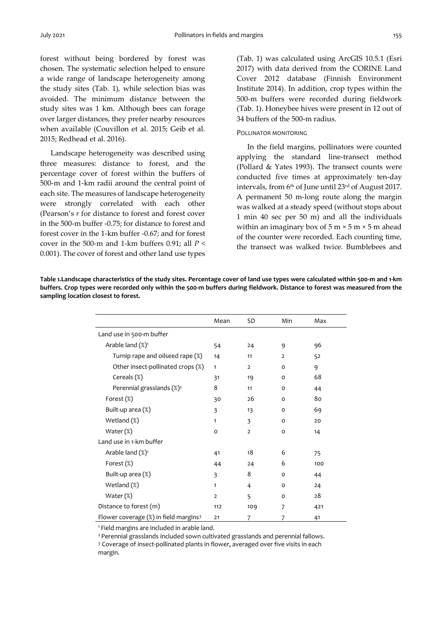forest without being bordered by forest was chosen. The systematic selection helped to ensure a wide range of landscape heterogeneity among the study sites (Tab. 1), while selection bias was avoided. The minimum distance between the study sites was 1 km. Although bees can forage over larger distances, they prefer nearby resources when available (Couvillon et al. 2015; Geib et al. 2015; Redhead et al. 2016).

Landscape heterogeneity was described using three measures: distance to forest, and the percentage cover of forest within the buffers of 500-m and 1-km radii around the central point of each site. The measures of landscape heterogeneity were strongly correlated with each other (Pearson's *r* for distance to forest and forest cover in the 500-m buffer -0.75; for distance to forest and forest cover in the 1-km buffer -0.67; and for forest cover in the 500-m and 1-km buffers 0.91; all *P* < 0.001). The cover of forest and other land use types

(Tab. 1) was calculated using ArcGIS 10.5.1 (Esri 2017) with data derived from the CORINE Land Cover 2012 database (Finnish Environment Institute 2014). In addition, crop types within the 500-m buffers were recorded during fieldwork (Tab. 1). Honeybee hives were present in 12 out of 34 buffers of the 500-m radius.

#### POLLINATOR MONITORING

In the field margins, pollinators were counted applying the standard line-transect method (Pollard & Yates 1993). The transect counts were conducted five times at approximately ten-day intervals, from 6th of June until 23rd of August 2017. A permanent 50 m-long route along the margin was walked at a steady speed (without stops about 1 min 40 sec per 50 m) and all the individuals within an imaginary box of  $5 \text{ m} \times 5 \text{ m} \times 5 \text{ m}$  ahead of the counter were recorded. Each counting time, the transect was walked twice. Bumblebees and

**Table 1.Landscape characteristics of the study sites. Percentage cover of land use types were calculated within 500-m and 1-km buffers. Crop types were recorded only within the 500-m buffers during fieldwork. Distance to forest was measured from the sampling location closest to forest.**

|                                                   | Mean           | <b>SD</b>      | Min          | Max |
|---------------------------------------------------|----------------|----------------|--------------|-----|
| Land use in 500-m buffer                          |                |                |              |     |
| Arable land $(\%)^1$                              | 54             | 24             | 9            | 96  |
| Turnip rape and oilseed rape (%)                  | 14             | 11             | 2            | 52  |
| Other insect-pollinated crops (%)                 | $\mathbf{1}$   | $\overline{2}$ | $\mathbf{o}$ | 9   |
| Cereals (%)                                       | 31             | 19             | O            | 68  |
| Perennial grasslands (%) <sup>2</sup>             | 8              | 11             | O            | 44  |
| Forest (%)                                        | 30             | 26             | $\Omega$     | 80  |
| Built-up area (%)                                 | 3              | 13             | O            | 69  |
| Wetland (%)                                       | $\mathbf{1}$   | 3              | $\mathbf{o}$ | 20  |
| Water $(\%)$                                      | o              | $\overline{2}$ | O            | 14  |
| Land use in 1-km buffer                           |                |                |              |     |
| Arable land $(\%)^1$                              | 41             | 18             | 6            | 75  |
| Forest (%)                                        | 44             | 24             | 6            | 100 |
| Built-up area (%)                                 | 3              | 8              | $\mathbf{o}$ | 44  |
| Wetland (%)                                       | $\mathbf{1}$   | 4              | $\mathsf{o}$ | 24  |
| Water $(\%)$                                      | $\overline{2}$ | 5              | $\mathbf{o}$ | 28  |
| Distance to forest (m)                            | 112            | 109            | 7            | 421 |
| Flower coverage (%) in field margins <sup>3</sup> | 21             | 7              | 7            | 41  |

<sup>1</sup>Field margins are included in arable land.

<sup>2</sup> Perennial grasslands included sown cultivated grasslands and perennial fallows.

<sup>3</sup> Coverage of insect-pollinated plants in flower, averaged over five visits in each margin.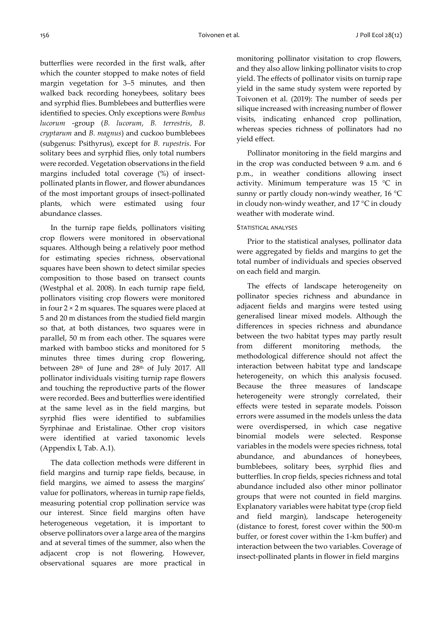butterflies were recorded in the first walk, after which the counter stopped to make notes of field margin vegetation for 3–5 minutes, and then walked back recording honeybees, solitary bees and syrphid flies. Bumblebees and butterflies were identified to species. Only exceptions were *Bombus lucorum* -group (*B. lucorum*, *B. terrestris*, *B. cryptarum* and *B. magnus*) and cuckoo bumblebees (subgenus: Psithyrus), except for *B. rupestris*. For solitary bees and syrphid flies, only total numbers were recorded. Vegetation observations in the field margins included total coverage (%) of insectpollinated plants in flower, and flower abundances of the most important groups of insect-pollinated plants, which were estimated using four abundance classes.

In the turnip rape fields, pollinators visiting crop flowers were monitored in observational squares. Although being a relatively poor method for estimating species richness, observational squares have been shown to detect similar species composition to those based on transect counts (Westphal et al. 2008). In each turnip rape field, pollinators visiting crop flowers were monitored in four  $2 \times 2$  m squares. The squares were placed at 5 and 20 m distances from the studied field margin so that, at both distances, two squares were in parallel, 50 m from each other. The squares were marked with bamboo sticks and monitored for 5 minutes three times during crop flowering, between 28th of June and 28th of July 2017. All pollinator individuals visiting turnip rape flowers and touching the reproductive parts of the flower were recorded. Bees and butterflies were identified at the same level as in the field margins, but syrphid flies were identified to subfamilies Syrphinae and Eristalinae. Other crop visitors were identified at varied taxonomic levels (Appendix I, Tab. A.1).

The data collection methods were different in field margins and turnip rape fields, because, in field margins, we aimed to assess the margins' value for pollinators, whereas in turnip rape fields, measuring potential crop pollination service was our interest. Since field margins often have heterogeneous vegetation, it is important to observe pollinators over a large area of the margins and at several times of the summer, also when the adjacent crop is not flowering. However, observational squares are more practical in monitoring pollinator visitation to crop flowers, and they also allow linking pollinator visits to crop yield. The effects of pollinator visits on turnip rape yield in the same study system were reported by Toivonen et al. (2019): The number of seeds per silique increased with increasing number of flower visits, indicating enhanced crop pollination, whereas species richness of pollinators had no yield effect.

Pollinator monitoring in the field margins and in the crop was conducted between 9 a.m. and 6 p.m., in weather conditions allowing insect activity. Minimum temperature was 15 °C in sunny or partly cloudy non-windy weather, 16 °C in cloudy non-windy weather, and 17 °C in cloudy weather with moderate wind.

#### STATISTICAL ANALYSES

Prior to the statistical analyses, pollinator data were aggregated by fields and margins to get the total number of individuals and species observed on each field and margin.

The effects of landscape heterogeneity on pollinator species richness and abundance in adjacent fields and margins were tested using generalised linear mixed models. Although the differences in species richness and abundance between the two habitat types may partly result from different monitoring methods, the methodological difference should not affect the interaction between habitat type and landscape heterogeneity, on which this analysis focused. Because the three measures of landscape heterogeneity were strongly correlated, their effects were tested in separate models. Poisson errors were assumed in the models unless the data were overdispersed, in which case negative binomial models were selected. Response variables in the models were species richness, total abundance, and abundances of honeybees, bumblebees, solitary bees, syrphid flies and butterflies. In crop fields, species richness and total abundance included also other minor pollinator groups that were not counted in field margins. Explanatory variables were habitat type (crop field and field margin), landscape heterogeneity (distance to forest, forest cover within the 500-m buffer, or forest cover within the 1-km buffer) and interaction between the two variables. Coverage of insect-pollinated plants in flower in field margins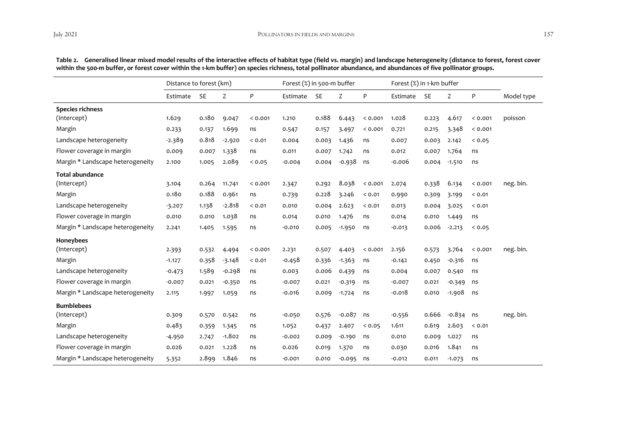|                                  | Distance to forest (km) |           |          | Forest (%) in 500-m buffer |          |           |          | Forest (%) in 1-km buffer |          |           |          |        |            |
|----------------------------------|-------------------------|-----------|----------|----------------------------|----------|-----------|----------|---------------------------|----------|-----------|----------|--------|------------|
|                                  | Estimate                | <b>SE</b> | Z        | ${\sf P}$                  | Estimate | <b>SE</b> | Z        | P                         | Estimate | <b>SE</b> | Z        | P      | Model type |
| <b>Species richness</b>          |                         |           |          |                            |          |           |          |                           |          |           |          |        |            |
| (Intercept)                      | 1.629                   | 0.180     | 9.047    | 0.001                      | 1.210    | 0.188     | 6.443    | 0.001                     | 1.028    | 0.223     | 4.617    | 0.001  | poisson    |
| Margin                           | 0.233                   | 0.137     | 1.699    | ns                         | 0.547    | 0.157     | 3.497    | < 0.001                   | 0.721    | 0.215     | 3.348    | 0.001  |            |
| Landscape heterogeneity          | $-2.389$                | 0.818     | $-2.920$ | 0.01                       | 0.004    | 0.003     | 1.436    | ns                        | 0.007    | 0.003     | 2.142    | 0.05   |            |
| Flower coverage in margin        | 0.009                   | 0.007     | 1.338    | ns                         | 0.011    | 0.007     | 1.742    | ns                        | 0.012    | 0.007     | 1.764    | ns     |            |
| Margin * Landscape heterogeneity | 2.100                   | 1.005     | 2.089    | 0.05                       | $-0.004$ | 0.004     | $-0.938$ | ns                        | -0.006   | 0.004     | $-1.510$ | ns     |            |
| <b>Total abundance</b>           |                         |           |          |                            |          |           |          |                           |          |           |          |        |            |
| (Intercept)                      | 3.104                   | 0.264     | 11.741   | 0.001                      | 2.347    | 0.292     | 8.038    | 0.001                     | 2.074    | 0.338     | 6.134    | 0.001  | neg. bin.  |
| Margin                           | 0.180                   | 0.188     | 0.961    | ns                         | 0.739    | 0.228     | 3.246    | < 0.01                    | 0.990    | 0.309     | 3.199    | < 0.01 |            |
| Landscape heterogeneity          | $-3.207$                | 1.138     | $-2.818$ | < 0.01                     | 0.010    | 0.004     | 2.623    | 0.01                      | 0.013    | 0.004     | 3.025    | < 0.01 |            |
| Flower coverage in margin        | 0.010                   | 0.010     | 1.038    | ns                         | 0.014    | 0.010     | 1.476    | ns                        | 0.014    | 0.010     | 1.449    | ns     |            |
| Margin * Landscape heterogeneity | 2.241                   | 1.405     | 1.595    | ns                         | $-0.010$ | 0.005     | $-1.950$ | ns                        | $-0.013$ | 0.006     | $-2.213$ | 0.05   |            |
| Honeybees                        |                         |           |          |                            |          |           |          |                           |          |           |          |        |            |
| (Intercept)                      | 2.393                   | 0.532     | 4.494    | < 0.001                    | 2.231    | 0.507     | 4.403    | 0.001                     | 2.156    | 0.573     | 3.764    | 0.001  | neg. bin.  |
| Margin                           | $-1.127$                | 0.358     | $-3.148$ | < 0.01                     | $-0.458$ | 0.336     | $-1.363$ | ns                        | $-0.142$ | 0.450     | $-0.316$ | ns     |            |
| Landscape heterogeneity          | $-0.473$                | 1.589     | $-0.298$ | ns                         | 0.003    | 0.006     | 0.439    | ns                        | 0.004    | 0.007     | 0.540    | ns     |            |
| Flower coverage in margin        | $-0.007$                | 0.021     | $-0.350$ | ns                         | $-0.007$ | 0.021     | $-0.319$ | ns                        | $-0.007$ | 0.021     | $-0.349$ | ns     |            |
| Margin * Landscape heterogeneity | 2.115                   | 1.997     | 1.059    | ns                         | $-0.016$ | 0.009     | $-1.724$ | ns                        | $-0.018$ | 0.010     | $-1.908$ | ns     |            |
| <b>Bumblebees</b>                |                         |           |          |                            |          |           |          |                           |          |           |          |        |            |
| (Intercept)                      | 0.309                   | 0.570     | 0.542    | ns                         | $-0.050$ | 0.576     | $-0.087$ | ns                        | $-0.556$ | 0.666     | $-0.834$ | ns     | neg. bin.  |
| Margin                           | 0.483                   | 0.359     | 1.345    | ns                         | 1.052    | 0.437     | 2.407    | 0.05                      | 1.611    | 0.619     | 2.603    | < 0.01 |            |
| Landscape heterogeneity          | $-4.950$                | 2.747     | $-1.802$ | ns                         | $-0.002$ | 0.009     | $-0.190$ | ns                        | 0.010    | 0.009     | 1.027    | ns     |            |
| Flower coverage in margin        | 0.026                   | 0.021     | 1.228    | ns                         | 0.026    | 0.019     | 1.370    | ns                        | 0.030    | 0.016     | 1.841    | ns     |            |
| Margin * Landscape heterogeneity | 5.352                   | 2.899     | 1.846    | ns                         | $-0.001$ | 0.010     | $-0.095$ | ns                        | -0.012   | 0.011     | $-1.073$ | ns     |            |

**Table 2. Generalised linear mixed model results of the interactive effects of habitat type (field vs. margin) and landscape heterogeneity (distance to forest, forest cover within the 500-m buffer, or forest cover within the 1-km buffer) on species richness, total pollinator abundance, and abundances of five pollinator groups.**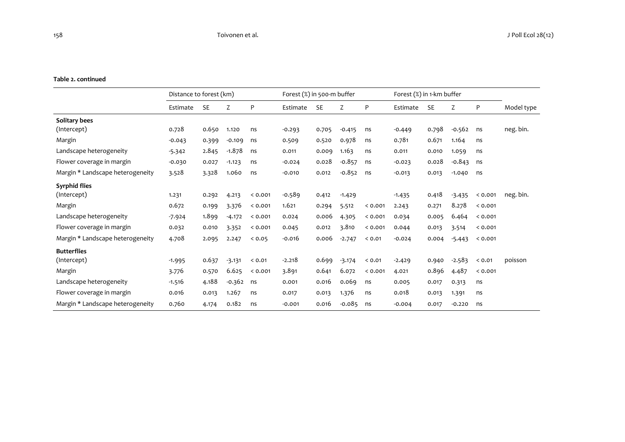#### **Table 2. continued**

|                                  | Distance to forest (km) |           |          | Forest (%) in 500-m buffer |          |           |          | Forest (%) in 1-km buffer |          |           |          |         |            |
|----------------------------------|-------------------------|-----------|----------|----------------------------|----------|-----------|----------|---------------------------|----------|-----------|----------|---------|------------|
|                                  | Estimate                | <b>SE</b> | Z        | P                          | Estimate | <b>SE</b> | Z        | P                         | Estimate | <b>SE</b> | Z        | P       | Model type |
| Solitary bees                    |                         |           |          |                            |          |           |          |                           |          |           |          |         |            |
| (Intercept)                      | 0.728                   | 0.650     | 1.120    | ns                         | $-0.293$ | 0.705     | $-0.415$ | ns                        | $-0.449$ | 0.798     | $-0.562$ | ns      | neg. bin.  |
| Margin                           | $-0.043$                | 0.399     | $-0.109$ | ns                         | 0.509    | 0.520     | 0.978    | ns                        | 0.781    | 0.671     | 1.164    | ns      |            |
| Landscape heterogeneity          | $-5.342$                | 2.845     | $-1.878$ | ns                         | 0.011    | 0.009     | 1.163    | ns                        | 0.011    | 0.010     | 1.059    | ns      |            |
| Flower coverage in margin        | $-0.030$                | 0.027     | $-1.123$ | ns                         | $-0.024$ | 0.028     | $-0.857$ | ns                        | $-0.023$ | 0.028     | $-0.843$ | ns      |            |
| Margin * Landscape heterogeneity | 3.528                   | 3.328     | 1.060    | ns                         | $-0.010$ | 0.012     | $-0.852$ | ns                        | $-0.013$ | 0.013     | $-1.040$ | ns      |            |
| <b>Syrphid flies</b>             |                         |           |          |                            |          |           |          |                           |          |           |          |         |            |
| (Intercept)                      | 1.231                   | 0.292     | 4.213    | 0.001                      | $-0.589$ | 0.412     | $-1.429$ |                           | $-1.435$ | 0.418     | $-3.435$ | 0.001   | neg. bin.  |
| Margin                           | 0.672                   | 0.199     | 3.376    | 0.001                      | 1.621    | 0.294     | 5.512    | < 0.001                   | 2.243    | 0.271     | 8.278    | < 0.001 |            |
| Landscape heterogeneity          | $-7.924$                | 1.899     | $-4.172$ | 0.001                      | 0.024    | 0.006     | 4.305    | < 0.001                   | 0.034    | 0.005     | 6.464    | 0.001   |            |
| Flower coverage in margin        | 0.032                   | 0.010     | 3.352    | 0.001                      | 0.045    | 0.012     | 3.810    | 0.001                     | 0.044    | 0.013     | 3.514    | 0.001   |            |
| Margin * Landscape heterogeneity | 4.708                   | 2.095     | 2.247    | 0.05                       | $-0.016$ | 0.006     | $-2.747$ | < 0.01                    | $-0.024$ | 0.004     | $-5.443$ | 0.001   |            |
| <b>Butterflies</b>               |                         |           |          |                            |          |           |          |                           |          |           |          |         |            |
| (Intercept)                      | $-1.995$                | 0.637     | $-3.131$ | < 0.01                     | $-2.218$ | 0.699     | $-3.174$ | 0.01                      | $-2.429$ | 0.940     | $-2.583$ | < 0.01  | poisson    |
| Margin                           | 3.776                   | 0.570     | 6.625    | 0.001                      | 3.891    | 0.641     | 6.072    | < 0.001                   | 4.021    | 0.896     | 4.487    | 0.001   |            |
| Landscape heterogeneity          | $-1.516$                | 4.188     | $-0.362$ | ns                         | 0.001    | 0.016     | 0.069    | ns                        | 0.005    | 0.017     | 0.313    | ns      |            |
| Flower coverage in margin        | 0.016                   | 0.013     | 1.267    | ns                         | 0.017    | 0.013     | 1.376    | ns                        | 0.018    | 0.013     | 1.391    | ns      |            |
| Margin * Landscape heterogeneity | 0.760                   | 4.174     | 0.182    | ns                         | $-0.001$ | 0.016     | $-0.085$ | ns                        | $-0.004$ | 0.017     | $-0.220$ | ns      |            |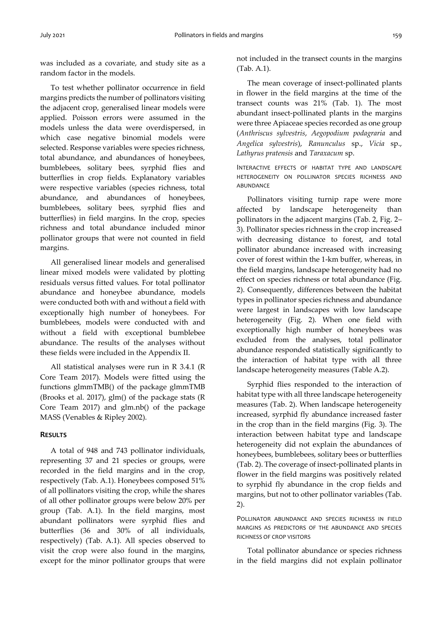was included as a covariate, and study site as a random factor in the models.

To test whether pollinator occurrence in field margins predicts the number of pollinators visiting the adjacent crop, generalised linear models were applied. Poisson errors were assumed in the models unless the data were overdispersed, in which case negative binomial models were selected. Response variables were species richness, total abundance, and abundances of honeybees, bumblebees, solitary bees, syrphid flies and butterflies in crop fields. Explanatory variables were respective variables (species richness, total abundance, and abundances of honeybees, bumblebees, solitary bees, syrphid flies and butterflies) in field margins. In the crop, species richness and total abundance included minor pollinator groups that were not counted in field margins.

All generalised linear models and generalised linear mixed models were validated by plotting residuals versus fitted values. For total pollinator abundance and honeybee abundance, models were conducted both with and without a field with exceptionally high number of honeybees. For bumblebees, models were conducted with and without a field with exceptional bumblebee abundance. The results of the analyses without these fields were included in the Appendix II.

All statistical analyses were run in R 3.4.1 (R Core Team 2017). Models were fitted using the functions glmmTMB() of the package glmmTMB (Brooks et al. 2017), glm() of the package stats (R Core Team 2017) and glm.nb() of the package MASS (Venables & Ripley 2002).

### **RESULTS**

A total of 948 and 743 pollinator individuals, representing 37 and 21 species or groups, were recorded in the field margins and in the crop, respectively (Tab. A.1). Honeybees composed 51% of all pollinators visiting the crop, while the shares of all other pollinator groups were below 20% per group (Tab. A.1). In the field margins, most abundant pollinators were syrphid flies and butterflies (36 and 30% of all individuals, respectively) (Tab. A.1). All species observed to visit the crop were also found in the margins, except for the minor pollinator groups that were

not included in the transect counts in the margins (Tab. A.1).

The mean coverage of insect-pollinated plants in flower in the field margins at the time of the transect counts was 21% (Tab. 1). The most abundant insect-pollinated plants in the margins were three Apiaceae species recorded as one group (*Anthriscus sylvestris*, *Aegopodium podagraria* and *Angelica sylvestris*), *Ranunculus* sp., *Vicia* sp., *Lathyrus pratensis* and *Taraxacum* sp.

INTERACTIVE EFFECTS OF HABITAT TYPE AND LANDSCAPE HETEROGENEITY ON POLLINATOR SPECIES RICHNESS AND ABUNDANCE

Pollinators visiting turnip rape were more affected by landscape heterogeneity than pollinators in the adjacent margins (Tab. 2, Fig. 2– 3). Pollinator species richness in the crop increased with decreasing distance to forest, and total pollinator abundance increased with increasing cover of forest within the 1-km buffer, whereas, in the field margins, landscape heterogeneity had no effect on species richness or total abundance (Fig. 2). Consequently, differences between the habitat types in pollinator species richness and abundance were largest in landscapes with low landscape heterogeneity (Fig. 2). When one field with exceptionally high number of honeybees was excluded from the analyses, total pollinator abundance responded statistically significantly to the interaction of habitat type with all three landscape heterogeneity measures (Table A.2).

Syrphid flies responded to the interaction of habitat type with all three landscape heterogeneity measures (Tab. 2). When landscape heterogeneity increased, syrphid fly abundance increased faster in the crop than in the field margins (Fig. 3). The interaction between habitat type and landscape heterogeneity did not explain the abundances of honeybees, bumblebees, solitary bees or butterflies (Tab. 2). The coverage of insect-pollinated plants in flower in the field margins was positively related to syrphid fly abundance in the crop fields and margins, but not to other pollinator variables (Tab. 2).

POLLINATOR ABUNDANCE AND SPECIES RICHNESS IN FIELD MARGINS AS PREDICTORS OF THE ABUNDANCE AND SPECIES RICHNESS OF CROP VISITORS

Total pollinator abundance or species richness in the field margins did not explain pollinator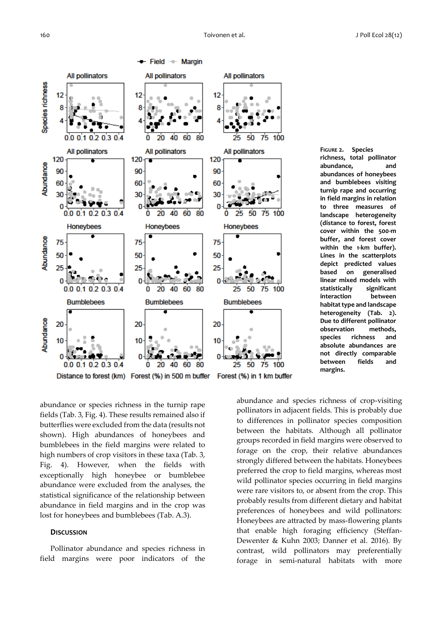

**FIGURE 2. Species richness, total pollinator abundance, and abundances of honeybees and bumblebees visiting turnip rape and occurring in field margins in relation to three measures of landscape heterogeneity (distance to forest, forest cover within the 500-m buffer, and forest cover within the 1-km buffer). Lines in the scatterplots depict predicted values based on generalised linear mixed models with statistically significant interaction between habitat type and landscape heterogeneity (Tab. 2). Due to different pollinator observation methods, species richness and absolute abundances are not directly comparable between fields and margins.**

abundance or species richness in the turnip rape fields (Tab. 3, Fig. 4). These results remained also if butterflies were excluded from the data (results not shown). High abundances of honeybees and bumblebees in the field margins were related to high numbers of crop visitors in these taxa (Tab. 3, Fig. 4). However, when the fields with exceptionally high honeybee or bumblebee abundance were excluded from the analyses, the statistical significance of the relationship between abundance in field margins and in the crop was lost for honeybees and bumblebees (Tab. A.3).

#### **DISCUSSION**

Pollinator abundance and species richness in field margins were poor indicators of the

abundance and species richness of crop-visiting pollinators in adjacent fields. This is probably due to differences in pollinator species composition between the habitats. Although all pollinator groups recorded in field margins were observed to forage on the crop, their relative abundances strongly differed between the habitats. Honeybees preferred the crop to field margins, whereas most wild pollinator species occurring in field margins were rare visitors to, or absent from the crop. This probably results from different dietary and habitat preferences of honeybees and wild pollinators: Honeybees are attracted by mass-flowering plants that enable high foraging efficiency (Steffan-Dewenter & Kuhn 2003; Danner et al. 2016). By contrast, wild pollinators may preferentially forage in semi-natural habitats with more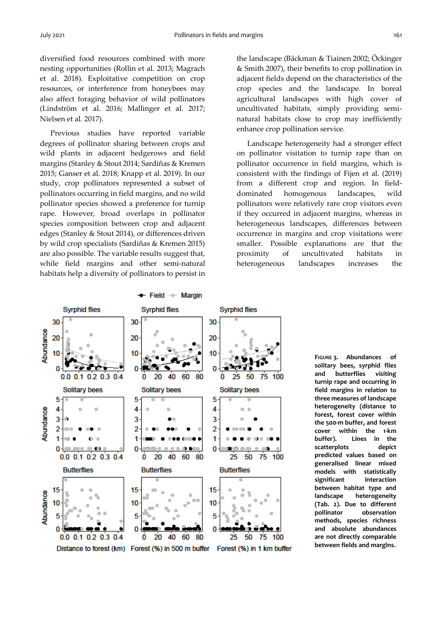diversified food resources combined with more nesting opportunities (Rollin et al. 2013; Magrach et al. 2018). Exploitative competition on crop resources, or interference from honeybees may also affect foraging behavior of wild pollinators (Lindström et al. 2016; Mallinger et al. 2017; Nielsen et al. 2017).

Previous studies have reported variable degrees of pollinator sharing between crops and wild plants in adjacent hedgerows and field margins (Stanley & Stout 2014; Sardiñas & Kremen 2015; Ganser et al. 2018; Knapp et al. 2019). In our study, crop pollinators represented a subset of pollinators occurring in field margins, and no wild pollinator species showed a preference for turnip rape. However, broad overlaps in pollinator species composition between crop and adjacent edges (Stanley & Stout 2014), or differences driven by wild crop specialists (Sardiñas & Kremen 2015) are also possible. The variable results suggest that, while field margins and other semi-natural habitats help a diversity of pollinators to persist in

the landscape (Bäckman & Tiainen 2002; Öckinger & Smith 2007), their benefits to crop pollination in adjacent fields depend on the characteristics of the crop species and the landscape. In boreal agricultural landscapes with high cover of uncultivated habitats, simply providing seminatural habitats close to crop may inefficiently enhance crop pollination service.

Landscape heterogeneity had a stronger effect on pollinator visitation to turnip rape than on pollinator occurrence in field margins, which is consistent with the findings of Fijen et al. (2019) from a different crop and region. In fielddominated homogenous landscapes, wild pollinators were relatively rare crop visitors even if they occurred in adjacent margins, whereas in heterogeneous landscapes, differences between occurrence in margins and crop visitations were smaller. Possible explanations are that the proximity of uncultivated habitats in heterogeneous landscapes increases the



**FIGURE 3. Abundances of solitary bees, syrphid flies and butterflies visiting turnip rape and occurring in field margins in relation to three measures of landscape heterogeneity (distance to forest, forest cover within the 500-m buffer, and forest cover within the 1-km buffer). Lines in the scatterplots depict predicted values based on generalised linear mixed models with statistically significant interaction between habitat type and landscape heterogeneity (Tab. 2). Due to different pollinator observation methods, species richness and absolute abundances are not directly comparable between fields and margins.**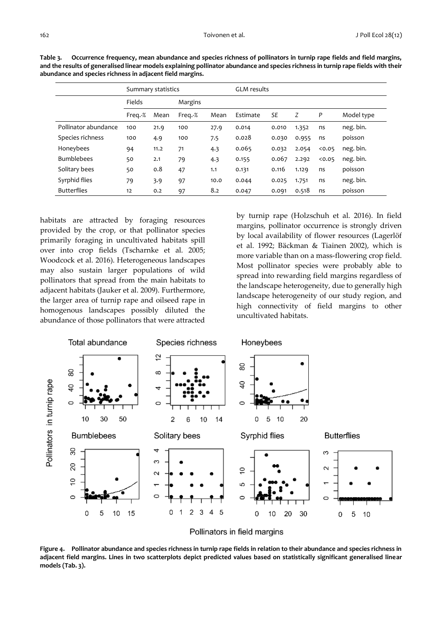|                      |         | Summary statistics |         | <b>GLM</b> results |          |           |       |      |            |
|----------------------|---------|--------------------|---------|--------------------|----------|-----------|-------|------|------------|
|                      | Fields  |                    | Margins |                    |          |           |       |      |            |
|                      | Freg.-% | Mean               | Freg.-% | Mean               | Estimate | <b>SE</b> | Z     | P    | Model type |
| Pollinator abundance | 100     | 21.9               | 100     | 27.9               | 0.014    | 0.010     | 1.352 | ns   | neg. bin.  |
| Species richness     | 100     | 4.9                | 100     | 7.5                | 0.028    | 0.030     | 0.955 | ns   | poisson    |
| Honeybees            | 94      | 11.2               | 71      | 4.3                | 0.065    | 0.032     | 2.054 | 0.05 | neg. bin.  |
| <b>Bumblebees</b>    | 50      | 2.1                | 79      | 4.3                | 0.155    | 0.067     | 2.292 | 0.05 | neg. bin.  |
| Solitary bees        | 50      | 0.8                | 47      | 1.1                | 0.131    | 0.116     | 1.129 | ns   | poisson    |
| Syrphid flies        | 79      | 3.9                | 97      | 10.0               | 0.044    | 0.025     | 1.751 | ns   | neg. bin.  |
| <b>Butterflies</b>   | 12      | 0.2                | 97      | 8.2                | 0.047    | 0.091     | 0.518 | ns   | poisson    |

**Table 3. Occurrence frequency, mean abundance and species richness of pollinators in turnip rape fields and field margins, and the results of generalised linear models explaining pollinator abundance and species richness in turnip rape fields with their abundance and species richness in adjacent field margins.**

habitats are attracted by foraging resources provided by the crop, or that pollinator species primarily foraging in uncultivated habitats spill over into crop fields (Tscharnke et al. 2005; Woodcock et al. 2016). Heterogeneous landscapes may also sustain larger populations of wild pollinators that spread from the main habitats to adjacent habitats (Jauker et al. 2009). Furthermore, the larger area of turnip rape and oilseed rape in homogenous landscapes possibly diluted the abundance of those pollinators that were attracted

by turnip rape (Holzschuh et al. 2016). In field margins, pollinator occurrence is strongly driven by local availability of flower resources (Lagerlöf et al. 1992; Bäckman & Tiainen 2002), which is more variable than on a mass-flowering crop field. Most pollinator species were probably able to spread into rewarding field margins regardless of the landscape heterogeneity, due to generally high landscape heterogeneity of our study region, and high connectivity of field margins to other uncultivated habitats.





**Figure 4. Pollinator abundance and species richness in turnip rape fields in relation to their abundance and species richness in adjacent field margins. Lines in two scatterplots depict predicted values based on statistically significant generalised linear models (Tab. 3).**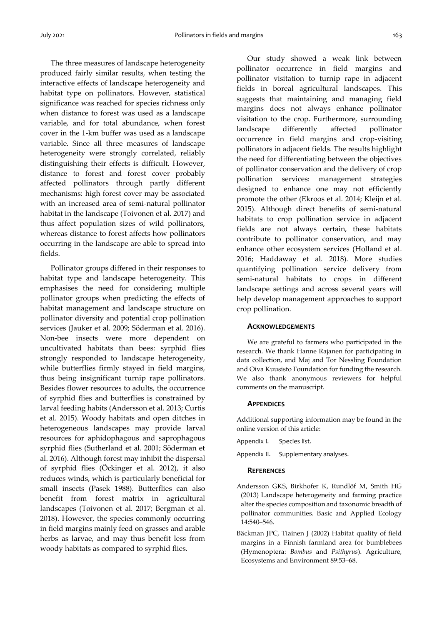The three measures of landscape heterogeneity produced fairly similar results, when testing the interactive effects of landscape heterogeneity and habitat type on pollinators. However, statistical significance was reached for species richness only when distance to forest was used as a landscape variable, and for total abundance, when forest cover in the 1-km buffer was used as a landscape variable. Since all three measures of landscape heterogeneity were strongly correlated, reliably distinguishing their effects is difficult. However, distance to forest and forest cover probably affected pollinators through partly different mechanisms: high forest cover may be associated with an increased area of semi-natural pollinator habitat in the landscape (Toivonen et al. 2017) and thus affect population sizes of wild pollinators, whereas distance to forest affects how pollinators occurring in the landscape are able to spread into fields.

Pollinator groups differed in their responses to habitat type and landscape heterogeneity. This emphasises the need for considering multiple pollinator groups when predicting the effects of habitat management and landscape structure on pollinator diversity and potential crop pollination services (Jauker et al. 2009; Söderman et al. 2016). Non-bee insects were more dependent on uncultivated habitats than bees: syrphid flies strongly responded to landscape heterogeneity, while butterflies firmly stayed in field margins, thus being insignificant turnip rape pollinators. Besides flower resources to adults, the occurrence of syrphid flies and butterflies is constrained by larval feeding habits (Andersson et al. 2013; Curtis et al. 2015). Woody habitats and open ditches in heterogeneous landscapes may provide larval resources for aphidophagous and saprophagous syrphid flies (Sutherland et al. 2001; Söderman et al. 2016). Although forest may inhibit the dispersal of syrphid flies (Öckinger et al. 2012), it also reduces winds, which is particularly beneficial for small insects (Pasek 1988). Butterflies can also benefit from forest matrix in agricultural landscapes (Toivonen et al. 2017; Bergman et al. 2018). However, the species commonly occurring in field margins mainly feed on grasses and arable herbs as larvae, and may thus benefit less from woody habitats as compared to syrphid flies.

Our study showed a weak link between pollinator occurrence in field margins and pollinator visitation to turnip rape in adjacent fields in boreal agricultural landscapes. This suggests that maintaining and managing field margins does not always enhance pollinator visitation to the crop. Furthermore, surrounding landscape differently affected pollinator occurrence in field margins and crop-visiting pollinators in adjacent fields. The results highlight the need for differentiating between the objectives of pollinator conservation and the delivery of crop pollination services: management strategies designed to enhance one may not efficiently promote the other (Ekroos et al. 2014; Kleijn et al. 2015). Although direct benefits of semi-natural habitats to crop pollination service in adjacent fields are not always certain, these habitats contribute to pollinator conservation, and may enhance other ecosystem services (Holland et al. 2016; Haddaway et al. 2018). More studies quantifying pollination service delivery from semi-natural habitats to crops in different landscape settings and across several years will help develop management approaches to support crop pollination.

#### **ACKNOWLEDGEMENTS**

We are grateful to farmers who participated in the research. We thank Hanne Rajanen for participating in data collection, and Maj and Tor Nessling Foundation and Oiva Kuusisto Foundation for funding the research. We also thank anonymous reviewers for helpful comments on the manuscript.

#### **APPENDICES**

Additional supporting information may be found in the online version of this article:

- Appendix I. Species list.
- Appendix II. Supplementary analyses.

#### **REFERENCES**

- Andersson GKS, Birkhofer K, Rundlöf M, Smith HG (2013) Landscape heterogeneity and farming practice alter the species composition and taxonomic breadth of pollinator communities. Basic and Applied Ecology 14:540–546.
- Bäckman JPC, Tiainen J (2002) Habitat quality of field margins in a Finnish farmland area for bumblebees (Hymenoptera: *Bombus* and *Psithyrus*). Agriculture, Ecosystems and Environment 89:53–68.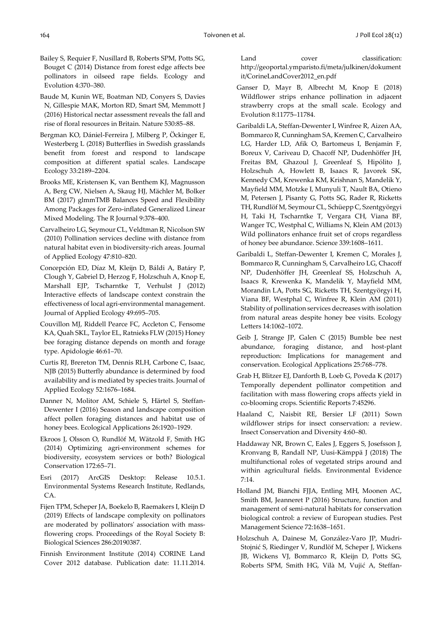- Bailey S, Requier F, Nusillard B, Roberts SPM, Potts SG, Bouget C (2014) Distance from forest edge affects bee pollinators in oilseed rape fields. Ecology and Evolution 4:370–380.
- Baude M, Kunin WE, Boatman ND, Conyers S, Davies N, Gillespie MAK, Morton RD, Smart SM, Memmott J (2016) Historical nectar assessment reveals the fall and rise of floral resources in Britain. Nature 530:85–88.
- Bergman KO, Dániel-Ferreira J, Milberg P, Öckinger E, Westerberg L (2018) Butterflies in Swedish grasslands benefit from forest and respond to landscape composition at different spatial scales. Landscape Ecology 33:2189–2204.
- Brooks ME, Kristensen K, van Benthem KJ, Magnusson A, Berg CW, Nielsen A, Skaug HJ, Mächler M, Bolker BM (2017) glmmTMB Balances Speed and Flexibility Among Packages for Zero-inflated Generalized Linear Mixed Modeling. The R Journal 9:378–400.
- Carvalheiro LG, Seymour CL, Veldtman R, Nicolson SW (2010) Pollination services decline with distance from natural habitat even in biodiversity‐rich areas. Journal of Applied Ecology 47:810–820.
- Concepción ED, Díaz M, Kleijn D, Báldi A, Batáry P, Clough Y, Gabriel D, Herzog F, Holzschuh A, Knop E, Marshall EJP, Tscharntke T, Verhulst J (2012) Interactive effects of landscape context constrain the effectiveness of local agri‐environmental management. Journal of Applied Ecology 49:695–705.
- Couvillon MJ, Riddell Pearce FC, Accleton C, Fensome KA, Quah SKL, Taylor EL, Ratnieks FLW (2015) Honey bee foraging distance depends on month and forage type. Apidologie 46:61–70.
- Curtis RJ, Brereton TM, Dennis RLH, Carbone C, Isaac, NJB (2015) Butterfly abundance is determined by food availability and is mediated by species traits. Journal of Applied Ecology 52:1676–1684.
- Danner N, Molitor AM, Schiele S, Härtel S, Steffan-Dewenter I (2016) Season and landscape composition affect pollen foraging distances and habitat use of honey bees. Ecological Applications 26:1920–1929.
- Ekroos J, Olsson O, Rundlöf M, Wätzold F, Smith HG (2014) Optimizing agri-environment schemes for biodiversity, ecosystem services or both? Biological Conservation 172:65–71.
- Esri (2017) ArcGIS Desktop: Release 10.5.1. Environmental Systems Research Institute, Redlands, CA.
- Fijen TPM, Scheper JA, Boekelo B, Raemakers I, Kleijn D (2019) Effects of landscape complexity on pollinators are moderated by pollinators' association with massflowering crops. Proceedings of the Royal Society B: Biological Sciences 286:20190387.
- Finnish Environment Institute (2014) CORINE Land Cover 2012 database. Publication date: 11.11.2014.

Land cover classification: http://geoportal.ymparisto.fi/meta/julkinen/dokument it/CorineLandCover2012\_en.pdf

- Ganser D, Mayr B, Albrecht M, Knop E (2018) Wildflower strips enhance pollination in adjacent strawberry crops at the small scale. Ecology and Evolution 8:11775–11784.
- Garibaldi LA, Steffan-Dewenter I, Winfree R, Aizen AA, Bommarco R, Cunningham SA, Kremen C, Carvalheiro LG, Harder LD, Afik O, Bartomeus I, Benjamin F, Boreux V, Cariveau D, Chacoff NP, Dudenhöffer JH, Freitas BM, Ghazoul J, Greenleaf S, Hipólito J, Holzschuh A, Howlett B, Isaacs R, Javorek SK, Kennedy CM, Krewenka KM, Krishnan S, Mandelik Y, Mayfield MM, Motzke I, Munyuli T, Nault BA, Otieno M, Petersen J, Pisanty G, Potts SG, Rader R, Ricketts TH, Rundlöf M, Seymour CL, Schüepp C, Szentgyörgyi H, Taki H, Tscharntke T, Vergara CH, Viana BF, Wanger TC, Westphal C, Williams N, Klein AM (2013) Wild pollinators enhance fruit set of crops regardless of honey bee abundance. Science 339:1608–1611.
- Garibaldi L, Steffan-Dewenter I, Kremen C, Morales J, Bommarco R, Cunningham S, Carvalheiro LG, Chacoff NP, Dudenhöffer JH, Greenleaf SS, Holzschuh A, Isaacs R, Krewenka K, Mandelik Y, Mayfield MM, Morandin LA, Potts SG, Ricketts TH, Szentgyörgyi H, Viana BF, Westphal C, Winfree R, Klein AM (2011) Stability of pollination services decreases with isolation from natural areas despite honey bee visits. Ecology Letters 14:1062–1072.
- Geib J, Strange JP, Galen C (2015) Bumble bee nest abundance, foraging distance, and host-plant reproduction: Implications for management and conservation. Ecological Applications 25:768–778.
- Grab H, Blitzer EJ, Danforth B, Loeb G, Poveda K (2017) Temporally dependent pollinator competition and facilitation with mass flowering crops affects yield in co-blooming crops. Scientific Reports 7:45296.
- Haaland C, Naisbit RE, Bersier LF (2011) Sown wildflower strips for insect conservation: a review. Insect Conservation and Diversity 4:60–80.
- Haddaway NR, Brown C, Eales J, Eggers S, Josefsson J, Kronvang B, Randall NP, Uusi-Kämppä J (2018) The multifunctional roles of vegetated strips around and within agricultural fields. Environmental Evidence 7:14.
- Holland JM, Bianchi FJJA, Entling MH, Moonen AC, Smith BM, Jeanneret P (2016) Structure, function and management of semi‐natural habitats for conservation biological control: a review of European studies. Pest Management Science 72:1638–1651.
- Holzschuh A, Dainese M, González‐Varo JP, Mudri‐ Stojnić S, Riedinger V, Rundlöf M, Scheper J, Wickens JB, Wickens VJ, Bommarco R, Kleijn D, Potts SG, Roberts SPM, Smith HG, Vilà M, Vujić A, Steffan‐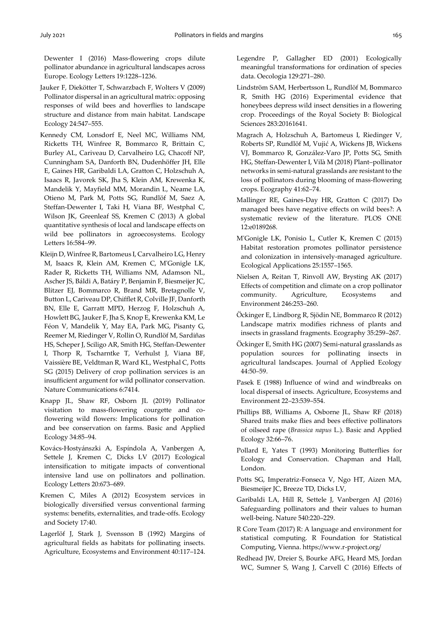Dewenter I (2016) Mass-flowering crops dilute pollinator abundance in agricultural landscapes across Europe. Ecology Letters 19:1228–1236.

- Jauker F, Diekötter T, Schwarzbach F, Wolters V (2009) Pollinator dispersal in an agricultural matrix: opposing responses of wild bees and hoverflies to landscape structure and distance from main habitat. Landscape Ecology 24:547–555.
- Kennedy CM, Lonsdorf E, Neel MC, Williams NM, Ricketts TH, Winfree R, Bommarco R, Brittain C, Burley AL, Cariveau D, Carvalheiro LG, Chacoff NP, Cunningham SA, Danforth BN, Dudenhöffer JH, Elle E, Gaines HR, Garibaldi LA, Gratton C, Holzschuh A, Isaacs R, Javorek SK, Jha S, Klein AM, Krewenka K, Mandelik Y, Mayfield MM, Morandin L, Neame LA, Otieno M, Park M, Potts SG, Rundlöf M, Saez A, Steffan‐Dewenter I, Taki H, Viana BF, Westphal C, Wilson JK, Greenleaf SS, Kremen C (2013) A global quantitative synthesis of local and landscape effects on wild bee pollinators in agroecosystems. Ecology Letters 16:584–99.
- Kleijn D, Winfree R, Bartomeus I, Carvalheiro LG, Henry M, Isaacs R, Klein AM, Kremen C, M'Gonigle LK, Rader R, Ricketts TH, Williams NM, Adamson NL, Ascher JS, Báldi A, Batáry P, Benjamin F, Biesmeijer JC, Blitzer EJ, Bommarco R, Brand MR, Bretagnolle V, Button L, Cariveau DP, Chifflet R, Colville JF, Danforth BN, Elle E, Garratt MPD, Herzog F, Holzschuh A, Howlett BG, Jauker F, Jha S, Knop E, Krewenka KM, Le Féon V, Mandelik Y, May EA, Park MG, Pisanty G, Reemer M, Riedinger V, Rollin O, Rundlöf M, Sardiñas HS, Scheper J, Sciligo AR, Smith HG, Steffan-Dewenter I, Thorp R, Tscharntke T, Verhulst J, Viana BF, Vaissière BE, Veldtman R, Ward KL, Westphal C, Potts SG (2015) Delivery of crop pollination services is an insufficient argument for wild pollinator conservation. Nature Communications 6:7414.
- Knapp JL, Shaw RF, Osborn JL (2019) Pollinator visitation to mass-flowering courgette and coflowering wild flowers: Implications for pollination and bee conservation on farms. Basic and Applied Ecology 34:85–94.
- Kovács-Hostyánszki A, Espíndola A, Vanbergen A, Settele J, Kremen C, Dicks LV (2017) Ecological intensification to mitigate impacts of conventional intensive land use on pollinators and pollination. Ecology Letters 20:673–689.
- Kremen C, Miles A (2012) Ecosystem services in biologically diversified versus conventional farming systems: benefits, externalities, and trade‐offs. Ecology and Society 17:40.
- Lagerlöf J, Stark J, Svensson B (1992) Margins of agricultural fields as habitats for pollinating insects. Agriculture, Ecosystems and Environment 40:117–124.
- Legendre P, Gallagher ED (2001) Ecologically meaningful transformations for ordination of species data. Oecologia 129:271–280.
- Lindström SAM, Herbertsson L, Rundlöf M, Bommarco R, Smith HG (2016) Experimental evidence that honeybees depress wild insect densities in a flowering crop. Proceedings of the Royal Society B: Biological Sciences 283:20161641.
- Magrach A, Holzschuh A, Bartomeus I, Riedinger V, Roberts SP, Rundlöf M, Vujić A, Wickens JB, Wickens VJ, Bommarco R, González‐Varo JP, Potts SG, Smith HG, Steffan‐Dewenter I, Vilà M (2018) Plant–pollinator networks in semi‐natural grasslands are resistant to the loss of pollinators during blooming of mass‐flowering crops. Ecography 41:62–74.
- Mallinger RE, Gaines-Day HR, Gratton C (2017) Do managed bees have negative effects on wild bees?: A systematic review of the literature. PLOS ONE 12:e0189268.
- M'Gonigle LK, Ponisio L, Cutler K, Kremen C (2015) Habitat restoration promotes pollinator persistence and colonization in intensively‐managed agriculture. Ecological Applications 25:1557–1565.
- Nielsen A, Reitan T, Rinvoll AW, Brysting AK (2017) Effects of competition and climate on a crop pollinator community. Agriculture, Ecosystems and Environment 246:253–260.
- Öckinger E, Lindborg R, Sjödin NE, Bommarco R (2012) Landscape matrix modifies richness of plants and insects in grassland fragments. Ecography 35:259–267.
- Öckinger E, Smith HG (2007) Semi-natural grasslands as population sources for pollinating insects in agricultural landscapes. Journal of Applied Ecology 44:50–59.
- Pasek E (1988) Influence of wind and windbreaks on local dispersal of insects. Agriculture, Ecosystems and Environment 22–23:539–554.
- Phillips BB, Williams A, Osborne JL, Shaw RF (2018) Shared traits make flies and bees effective pollinators of oilseed rape (*Brassica napus* L.). Basic and Applied Ecology 32:66–76.
- Pollard E, Yates T (1993) Monitoring Butterflies for Ecology and Conservation. Chapman and Hall, London.
- Potts SG, Imperatriz-Fonseca V, Ngo HT, Aizen MA, Biesmeijer JC, Breeze TD, Dicks LV,
- Garibaldi LA, Hill R, Settele J, Vanbergen AJ (2016) Safeguarding pollinators and their values to human well-being. Nature 540:220–229.
- R Core Team (2017) R: A language and environment for statistical computing. R Foundation for Statistical Computing, Vienna. https://www.r-project.org/
- Redhead JW, Dreier S, Bourke AFG, Heard MS, Jordan WC, Sumner S, Wang J, Carvell C (2016) Effects of